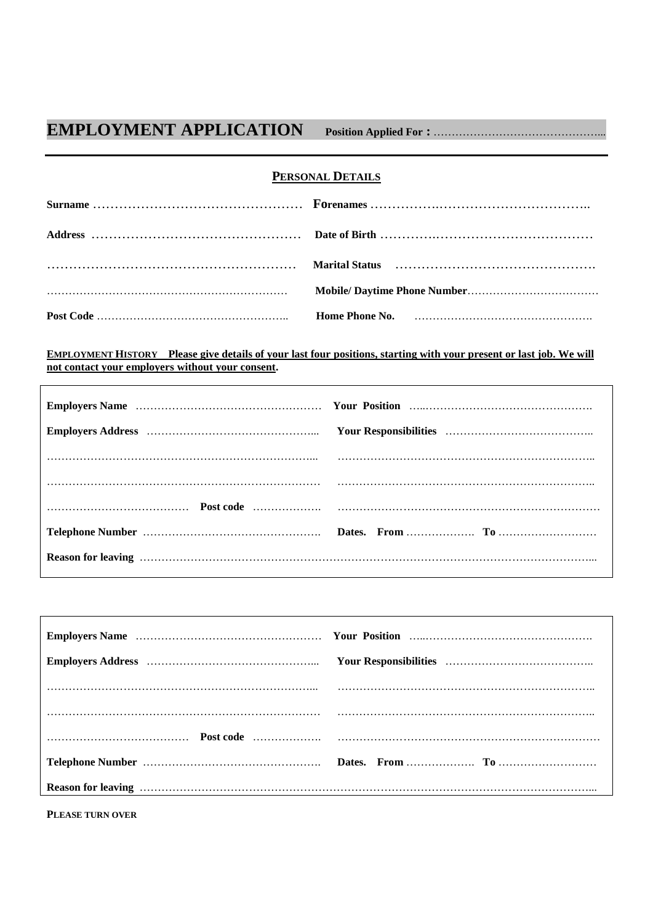## **EMPLOYMENT APPLICATION Position Applied For :** ………………………………………...

## **PERSONAL DETAILS**

| $Marial Status$ $Marial Status$ $Marial Status$ $Marial Status$ $Mariial Status$ $Mariial alafal.$ |
|----------------------------------------------------------------------------------------------------|
|                                                                                                    |
|                                                                                                    |

**EMPLOYMENT HISTORY Please give details of your last four positions, starting with your present or last job. We will not contact your employers without your consent.**

**PLEASE TURN OVER**